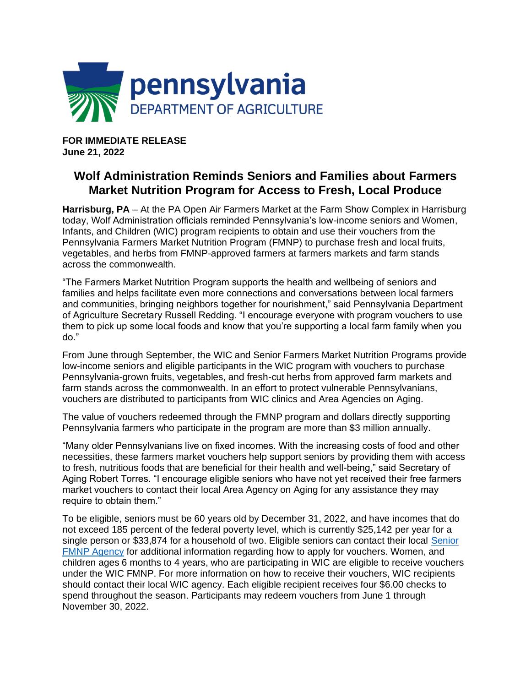

**FOR IMMEDIATE RELEASE June 21, 2022**

## **Wolf Administration Reminds Seniors and Families about Farmers Market Nutrition Program for Access to Fresh, Local Produce**

**Harrisburg, PA** – At the PA Open Air Farmers Market at the Farm Show Complex in Harrisburg today, Wolf Administration officials reminded Pennsylvania's low-income seniors and Women, Infants, and Children (WIC) program recipients to obtain and use their vouchers from the Pennsylvania Farmers Market Nutrition Program (FMNP) to purchase fresh and local fruits, vegetables, and herbs from FMNP-approved farmers at farmers markets and farm stands across the commonwealth.

"The Farmers Market Nutrition Program supports the health and wellbeing of seniors and families and helps facilitate even more connections and conversations between local farmers and communities, bringing neighbors together for nourishment," said Pennsylvania Department of Agriculture Secretary Russell Redding. "I encourage everyone with program vouchers to use them to pick up some local foods and know that you're supporting a local farm family when you do."

From June through September, the WIC and Senior Farmers Market Nutrition Programs provide low-income seniors and eligible participants in the WIC program with vouchers to purchase Pennsylvania-grown fruits, vegetables, and fresh-cut herbs from approved farm markets and farm stands across the commonwealth. In an effort to protect vulnerable Pennsylvanians, vouchers are distributed to participants from WIC clinics and Area Agencies on Aging.

The value of vouchers redeemed through the FMNP program and dollars directly supporting Pennsylvania farmers who participate in the program are more than \$3 million annually.

"Many older Pennsylvanians live on fixed incomes. With the increasing costs of food and other necessities, these farmers market vouchers help support seniors by providing them with access to fresh, nutritious foods that are beneficial for their health and well-being," said Secretary of Aging Robert Torres. "I encourage eligible seniors who have not yet received their free farmers market vouchers to contact their local Area Agency on Aging for any assistance they may require to obtain them."

To be eligible, seniors must be 60 years old by December 31, 2022, and have incomes that do not exceed 185 percent of the federal poverty level, which is currently \$25,142 per year for a single person or \$33,874 for a household of two. Eligible seniors can contact their local [Senior](https://www.agriculture.pa.gov/Food/food_assistance/Farmers%20Senior%20Farmers%20Market%20Nutrition%20Program/Documents/2022%20SENIOR%20FMNP%20AGENCIES.pdf)  [FMNP Agency](https://www.agriculture.pa.gov/Food/food_assistance/Farmers%20Senior%20Farmers%20Market%20Nutrition%20Program/Documents/2022%20SENIOR%20FMNP%20AGENCIES.pdf) for additional information regarding how to apply for vouchers. Women, and children ages 6 months to 4 years, who are participating in WIC are eligible to receive vouchers under the WIC FMNP. For more information on how to receive their vouchers, WIC recipients should contact their local WIC agency. Each eligible recipient receives four \$6.00 checks to spend throughout the season. Participants may redeem vouchers from June 1 through November 30, 2022.